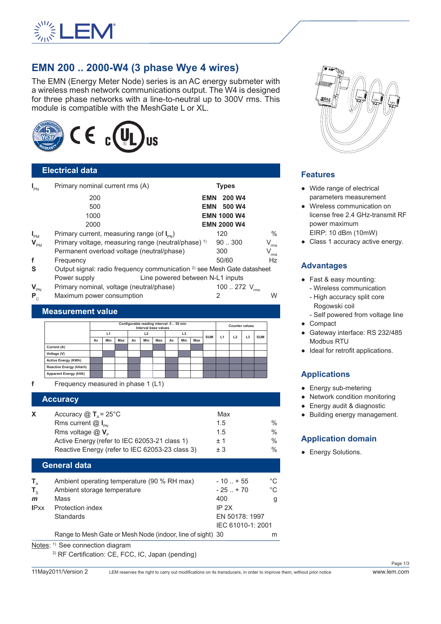

# **EMN 200 .. 2000-W4 (3 phase Wye 4 wires)**

The EMN (Energy Meter Node) series is an AC energy submeter with a wireless mesh network communications output. The W4 is designed for three phase networks with a line-to-neutral up to 300V rms. This module is compatible with the MeshGate L or XL.



#### **Electrical data**

| $I_{PN}$                   | Primary nominal current rms (A)                                                    |            | <b>Types</b>       |                             |
|----------------------------|------------------------------------------------------------------------------------|------------|--------------------|-----------------------------|
|                            | 200                                                                                | <b>EMN</b> | 200 W4             |                             |
|                            | 500                                                                                | EMN        | 500 W4             |                             |
|                            | 1000                                                                               |            | <b>EMN 1000 W4</b> |                             |
|                            | 2000                                                                               |            | <b>EMN 2000 W4</b> |                             |
| $I_{PM}$                   | Primary current, measuring range (of $I_{\text{pN}}$ )                             |            | 120                | $\%$                        |
| $\mathbf{V}_{\texttt{PM}}$ | Primary voltage, measuring range (neutral/phase) <sup>1)</sup>                     |            | 90.0300            | V<br>rms                    |
|                            | Permanent overload voltage (neutral/phase)                                         |            | 300                | $\mathsf{V}_{\mathsf{rms}}$ |
| f                          | Frequency                                                                          |            | 50/60              | <b>Hz</b>                   |
| S                          | Output signal: radio frequency communication <sup>2)</sup> see Mesh Gate datasheet |            |                    |                             |
|                            | Line powered between N-L1 inputs<br>Power supply                                   |            |                    |                             |
| $V_{\text{PN}}$            | Primary nominal, voltage (neutral/phase)                                           |            | 100  272 V         |                             |

**P**<sub>C</sub> Maximum power consumption 2 W

| <b>Measurement value</b> |  |  |  |
|--------------------------|--|--|--|
|                          |  |  |  |

| Configurable reading interval: 5  30 min<br>Interval base values |    |     |     |    |                |     | <b>Counter values</b> |     |     |            |  |    |                |            |
|------------------------------------------------------------------|----|-----|-----|----|----------------|-----|-----------------------|-----|-----|------------|--|----|----------------|------------|
|                                                                  | L1 |     | L2  |    | L <sub>3</sub> |     |                       | L1  |     |            |  |    |                |            |
|                                                                  | Av | Min | Max | Av | Min            | Max | Av                    | Min | Max | <b>SUM</b> |  | L2 | L <sub>3</sub> | <b>SUM</b> |
| Current (A)                                                      |    |     |     |    |                |     |                       |     |     |            |  |    |                |            |
| Voltage (V)                                                      |    |     |     |    |                |     |                       |     |     |            |  |    |                |            |
| <b>Active Energy (KWh)</b>                                       |    |     |     |    |                |     |                       |     |     |            |  |    |                |            |
| <b>Reactive Energy (kVarh)</b>                                   |    |     |     |    |                |     |                       |     |     |            |  |    |                |            |
| <b>Apparent Energy (kVA)</b>                                     |    |     |     |    |                |     |                       |     |     |            |  |    |                |            |

**f** Frequency measured in phase 1 (L1)

|    | <b>Accuracy</b>                                               |      |               |
|----|---------------------------------------------------------------|------|---------------|
| X. | Accuracy $\textcircled{1}$ T <sub>a</sub> = 25 <sup>°</sup> C | Max  |               |
|    | Rms current $@I_{\infty}$                                     | 1.5  | $\frac{0}{0}$ |
|    | Rms voltage $@V_{p}$                                          | 1.5  | $\frac{0}{0}$ |
|    | Active Energy (refer to IEC 62053-21 class 1)                 | $+1$ | $\frac{0}{0}$ |
|    | Reactive Energy (refer to IEC 62053-23 class 3)               | $+3$ | $\frac{0}{0}$ |

#### **General data**

|              | $M = 1 - 1$ $M = 2 - 1 - 1$                                |                   |    |
|--------------|------------------------------------------------------------|-------------------|----|
|              | Range to Mesh Gate or Mesh Node (indoor, line of sight) 30 |                   | m  |
|              |                                                            | IEC 61010-1: 2001 |    |
|              | <b>Standards</b>                                           | EN 50178: 1997    |    |
| <b>IPxx</b>  | Protection index                                           | IP 2X             |    |
| $\mathsf{m}$ | Mass                                                       | 400               | g  |
| $T_{\rm c}$  | Ambient storage temperature                                | $-25$ $+70$       | °C |
| $T_{A}$      | Ambient operating temperature (90 % RH max)                | $-10$ $+55$       | °C |
|              |                                                            |                   |    |

Notes: <sup>1)</sup> See connection diagram

2) RF Certification: CE, FCC, IC, Japan (pending)



# **Features**

- Wide range of electrical parameters measurement
- Wireless communication on license free 2.4 GHz-transmit RF power maximum EIRP: 10 dBm (10mW)
- Class 1 accuracy active energy.

#### **Advantages**

- Fast & easy mounting:
	- Wireless communication
	- High accuracy split core Rogowski coil
- Self powered from voltage line ● Compact
- Gateway interface: RS 232/485 Modbus RTU
- Ideal for retrofit applications.

# **Applications**

- Energy sub-metering
- Network condition monitoring
- Energy audit & diagnostic
- Building energy management.

# **Application domain**

• Energy Solutions.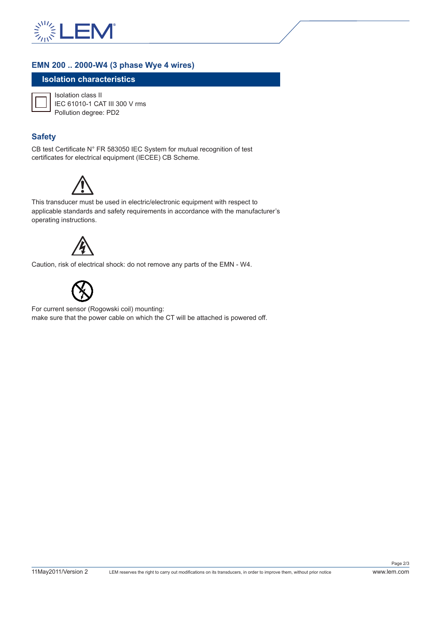

#### **EMN 200 .. 2000-W4 (3 phase Wye 4 wires)**

### **Isolation characteristics**



Isolation class II IEC 61010-1 CAT III 300 V rms Pollution degree: PD2

### **Safety**

CB test Certificate N° FR 583050 IEC System for mutual recognition of test certificates for electrical equipment (IECEE) CB Scheme.



This transducer must be used in electric/electronic equipment with respect to applicable standards and safety requirements in accordance with the manufacturer's operating instructions.



Caution, risk of electrical shock: do not remove any parts of the EMN - W4.



For current sensor (Rogowski coil) mounting: make sure that the power cable on which the CT will be attached is powered off.